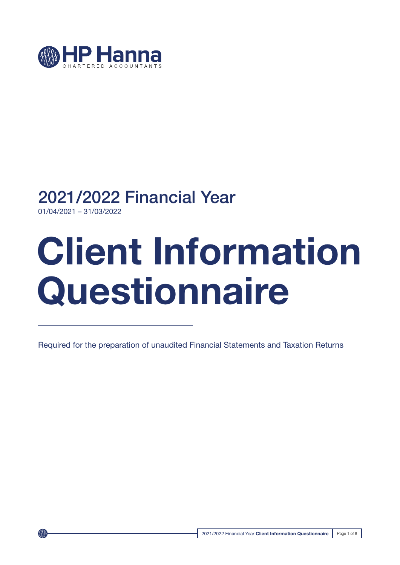

## 2021/2022 Financial Year

01/04/2021 – 31/03/2022

# **Client Information Questionnaire**

Required for the preparation of unaudited Financial Statements and Taxation Returns

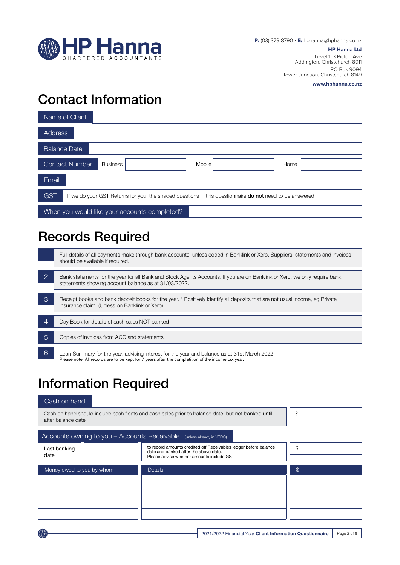

#### **HP Hanna Ltd**

Level 1, 3 Picton Ave Addington, Christchurch 8011 PO Box 9094 Tower Junction, Christchurch 8149

**www.hphanna.co.nz**

## Contact Information

| Name of Client                                                                                                                |  |  |  |  |
|-------------------------------------------------------------------------------------------------------------------------------|--|--|--|--|
| <b>Address</b>                                                                                                                |  |  |  |  |
| <b>Balance Date</b>                                                                                                           |  |  |  |  |
| Contact Number<br>Mobile<br><b>Business</b><br>Home                                                                           |  |  |  |  |
| Email                                                                                                                         |  |  |  |  |
| <b>GST</b><br>If we do your GST Returns for you, the shaded questions in this questionnaire <b>do not</b> need to be answered |  |  |  |  |
| When you would like your accounts completed?                                                                                  |  |  |  |  |

## Records Required

|                | Full details of all payments make through bank accounts, unless coded in Banklink or Xero. Suppliers' statements and invoices<br>should be available if required.                                 |
|----------------|---------------------------------------------------------------------------------------------------------------------------------------------------------------------------------------------------|
| $\overline{2}$ | Bank statements for the year for all Bank and Stock Agents Accounts. If you are on Banklink or Xero, we only require bank<br>statements showing account balance as at 31/03/2022.                 |
| 3              | Receipt books and bank deposit books for the year. * Positively identify all deposits that are not usual income, eg Private<br>insurance claim. (Unless on Banklink or Xero)                      |
| 4              | Day Book for details of cash sales NOT banked                                                                                                                                                     |
| 5              | Copies of invoices from ACC and statements                                                                                                                                                        |
| 6              | Loan Summary for the year, advising interest for the year and balance as at 31st March 2022<br>Please note: All records are to be kept for 7 years after the completition of the income tax year. |

## Information Required

### Cash on hand

| Cash on hand should include cash floats and cash sales prior to balance date, but not banked until<br>after balance date | S              |               |
|--------------------------------------------------------------------------------------------------------------------------|----------------|---------------|
| Accounts owning to you - Accounts Receivable                                                                             |                |               |
| Last banking<br>date                                                                                                     | \$             |               |
| Money owed to you by whom                                                                                                | <b>Details</b> | $\mathcal{F}$ |
|                                                                                                                          |                |               |
|                                                                                                                          |                |               |
|                                                                                                                          |                |               |
|                                                                                                                          |                |               |

2021/2022 Financial Year **Client Information Questionnaire** | Page 2 of 8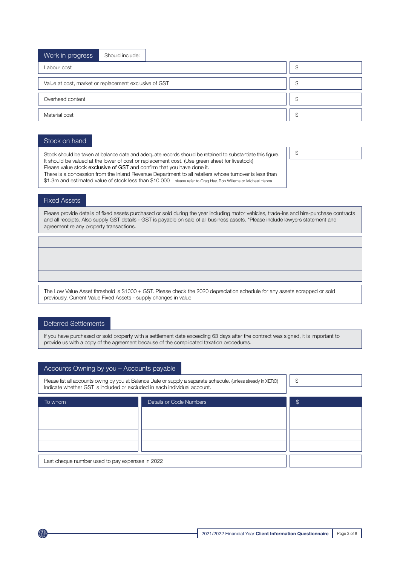| Work in progress                                      | Should include: |   |    |  |
|-------------------------------------------------------|-----------------|---|----|--|
| Labour cost                                           |                 |   | S  |  |
| Value at cost, market or replacement exclusive of GST |                 |   | \$ |  |
| Overhead content                                      |                 | S |    |  |
| Material cost                                         |                 | S |    |  |
|                                                       |                 |   |    |  |

#### Stock on hand

Stock should be taken at balance date and adequate records should be retained to substantiate this figure. It should be valued at the lower of cost or replacement cost. (Use green sheet for livestock) Please value stock exclusive of GST and confirm that you have done it. There is a concession from the Inland Revenue Department to all retailers whose turnover is less than \$1.3m and estimated value of stock less than \$10,000 – please refer to Greg Hay, Rob Willems or Michael Hanna

\$

#### Fixed Assets

Please provide details of fixed assets purchased or sold during the year including motor vehicles, trade-ins and hire-purchase contracts and all receipts. Also supply GST details - GST is payable on sale of all business assets. \*Please include lawyers statement and agreement re any property transactions.

The Low Value Asset threshold is \$1000 + GST. Please check the 2020 depreciation schedule for any assets scrapped or sold previously. Current Value Fixed Assets - supply changes in value

#### Deferred Settlements

If you have purchased or sold property with a settlement date exceeding 63 days after the contract was signed, it is important to provide us with a copy of the agreement because of the complicated taxation procedures.

#### Accounts Owning by you – Accounts payable

| Please list all accounts owing by you at Balance Date or supply a separate schedule. (unless already in XERO)<br>Indicate whether GST is included or excluded in each individual account. | \$ |  |  |  |  |
|-------------------------------------------------------------------------------------------------------------------------------------------------------------------------------------------|----|--|--|--|--|
| To whom                                                                                                                                                                                   | \$ |  |  |  |  |
|                                                                                                                                                                                           |    |  |  |  |  |
|                                                                                                                                                                                           |    |  |  |  |  |
|                                                                                                                                                                                           |    |  |  |  |  |
|                                                                                                                                                                                           |    |  |  |  |  |
|                                                                                                                                                                                           |    |  |  |  |  |
| Last cheque number used to pay expenses in 2022                                                                                                                                           |    |  |  |  |  |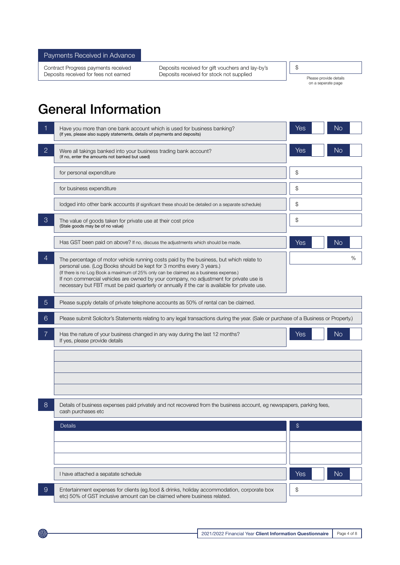Payments Received in Advance

Contract Progress payments received Deposits received for gift vouchers and lay-by's Deposits received for fees not earned Deposits received for stock not supplied

\$

Please provide details on a seperate page

## General Information

|                | Have you more than one bank account which is used for business banking?<br>(If yes, please also supply statements, details of payments and deposits)                                                                                                                                                                                                                                                                                                | Yes<br>No             |
|----------------|-----------------------------------------------------------------------------------------------------------------------------------------------------------------------------------------------------------------------------------------------------------------------------------------------------------------------------------------------------------------------------------------------------------------------------------------------------|-----------------------|
| $\overline{2}$ | Were all takings banked into your business trading bank account?<br>(If no, enter the amounts not banked but used)                                                                                                                                                                                                                                                                                                                                  | <b>No</b><br>Yes      |
|                | for personal expenditure                                                                                                                                                                                                                                                                                                                                                                                                                            | \$                    |
|                | for business expenditure                                                                                                                                                                                                                                                                                                                                                                                                                            | \$                    |
|                | lodged into other bank accounts (if significant these should be detailed on a separate schedule)                                                                                                                                                                                                                                                                                                                                                    | \$                    |
| 3              | The value of goods taken for private use at their cost price<br>(Stale goods may be of no value)                                                                                                                                                                                                                                                                                                                                                    | \$                    |
|                | Has GST been paid on above? If no, discuss the adjustments which should be made.                                                                                                                                                                                                                                                                                                                                                                    | Yes<br><b>No</b>      |
| $\overline{4}$ | The percentage of motor vehicle running costs paid by the business, but which relate to<br>personal use. (Log Books should be kept for 3 months every 3 years.)<br>(If there is no Log Book a maximum of 25% only can be claimed as a business expense.)<br>If non commercial vehicles are owned by your company, no adjustment for private use is<br>necessary but FBT must be paid quarterly or annually if the car is available for private use. | %                     |
| $\overline{5}$ | Please supply details of private telephone accounts as 50% of rental can be claimed.                                                                                                                                                                                                                                                                                                                                                                |                       |
| 6              | Please submit Solicitor's Statements relating to any legal transactions during the year. (Sale or purchase of a Business or Property.)                                                                                                                                                                                                                                                                                                              |                       |
|                | Has the nature of your business changed in any way during the last 12 months?<br>If yes, please provide details                                                                                                                                                                                                                                                                                                                                     | N <sub>o</sub><br>Yes |
|                |                                                                                                                                                                                                                                                                                                                                                                                                                                                     |                       |
| 8              | Details of business expenses paid privately and not recovered from the business account, eg newspapers, parking fees,<br>cash purchases etc                                                                                                                                                                                                                                                                                                         |                       |
|                | Details                                                                                                                                                                                                                                                                                                                                                                                                                                             | \$                    |
|                |                                                                                                                                                                                                                                                                                                                                                                                                                                                     |                       |
|                |                                                                                                                                                                                                                                                                                                                                                                                                                                                     |                       |
|                | I have attached a sepatate schedule                                                                                                                                                                                                                                                                                                                                                                                                                 | <b>No</b><br>Yes      |
| $\overline{9}$ | Entertainment expenses for clients (eg.food & drinks, holiday accommodation, corporate box<br>etc) 50% of GST inclusive amount can be claimed where business related.                                                                                                                                                                                                                                                                               | \$                    |

**SAXXS**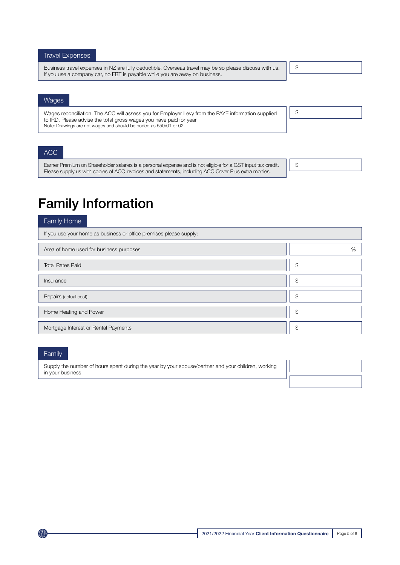#### Travel Expenses

Business travel expenses in NZ are fully deductible. Overseas travel may be so please discuss with us. If you use a company car, no FBT is payable while you are away on business.

#### \$

\$

#### Wages

Wages reconciliation. The ACC will assess you for Employer Levy from the PAYE information supplied to IRD. Please advise the total gross wages you have paid for year Note: Drawings are not wages and should be coded as 550/01 or 02.

ACC

Earner Premium on Shareholder salaries is a personal expense and is not eligible for a GST input tax credit. Please supply us with copies of ACC invoices and statements, including ACC Cover Plus extra monies.

\$

## Family Information

#### Family Home

| If you use your home as business or office premises please supply: |                |
|--------------------------------------------------------------------|----------------|
| Area of home used for business purposes                            | %              |
| <b>Total Rates Paid</b>                                            | $\mathfrak{L}$ |
| Insurance                                                          | \$             |
| Repairs (actual cost)                                              | \$             |
| Home Heating and Power                                             | \$             |
| Mortgage Interest or Rental Payments                               | \$             |

#### Family

Supply the number of hours spent during the year by your spouse/partner and your children, working in your business.

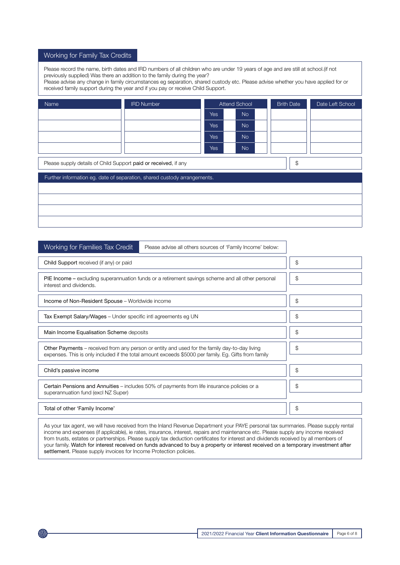#### Working for Family Tax Credits

Please record the name, birth dates and IRD numbers of all children who are under 19 years of age and are still at school.(if not previously supplied) Was there an addition to the family during the year?

Please advise any change in family circumstances eg separation, shared custody etc. Please advise whether you have applied for or received family support during the year and if you pay or receive Child Support.

| Name                                                                  | <b>IRD Number</b>                                                        |            | <b>Attend School</b> |  | <b>Brith Date</b> | Date Left School |
|-----------------------------------------------------------------------|--------------------------------------------------------------------------|------------|----------------------|--|-------------------|------------------|
|                                                                       |                                                                          | Yes        | <b>No</b>            |  |                   |                  |
|                                                                       |                                                                          | <b>Yes</b> | <b>No</b>            |  |                   |                  |
|                                                                       |                                                                          | <b>Yes</b> | <b>No</b>            |  |                   |                  |
|                                                                       |                                                                          | <b>Yes</b> | <b>No</b>            |  |                   |                  |
| \$<br>Please supply details of Child Support paid or received, if any |                                                                          |            |                      |  |                   |                  |
|                                                                       | Further information eg. date of separation, shared custody arrangements. |            |                      |  |                   |                  |
|                                                                       |                                                                          |            |                      |  |                   |                  |
|                                                                       |                                                                          |            |                      |  |                   |                  |
|                                                                       |                                                                          |            |                      |  |                   |                  |
|                                                                       |                                                                          |            |                      |  |                   |                  |

| Working for Families Tax Credit                                | Please advise all others sources of 'Family Income' below:                                                                                                                                            |    |
|----------------------------------------------------------------|-------------------------------------------------------------------------------------------------------------------------------------------------------------------------------------------------------|----|
| Child Support received (if any) or paid                        | \$                                                                                                                                                                                                    |    |
| interest and dividends.                                        | PIE Income – excluding superannuation funds or a retirement savings scheme and all other personal                                                                                                     | \$ |
| Income of Non-Resident Spouse - Worldwide income               |                                                                                                                                                                                                       | \$ |
| Tax Exempt Salary/Wages - Under specific intl agreements eg UN |                                                                                                                                                                                                       | \$ |
| Main Income Equalisation Scheme deposits                       |                                                                                                                                                                                                       | \$ |
|                                                                | Other Payments – received from any person or entity and used for the family day-to-day living<br>expenses. This is only included if the total amount exceeds \$5000 per family. Eg. Gifts from family | \$ |
| Child's passive income                                         |                                                                                                                                                                                                       | \$ |
| superannuation fund (excl NZ Super)                            | Certain Pensions and Annuities – includes 50% of payments from life insurance policies or a                                                                                                           | \$ |
| Total of other 'Family Income'                                 |                                                                                                                                                                                                       | \$ |
|                                                                | As your tax agent, we will have received from the Inland Revenue Department your PAYE personal tax summaries. Please supply rental                                                                    |    |

income and expenses (if applicable), ie rates, insurance, interest, repairs and maintenance etc. Please supply any income received from trusts, estates or partnerships. Please supply tax deduction certificates for interest and dividends received by all members of your family. Watch for interest received on funds advanced to buy a property or interest received on a temporary investment after settlement. Please supply invoices for Income Protection policies.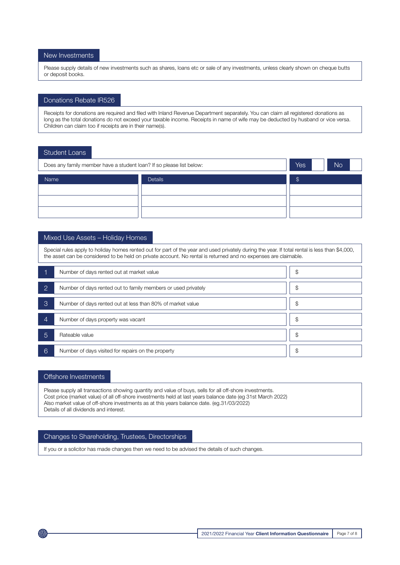#### New Investments

Please supply details of new investments such as shares, loans etc or sale of any investments, unless clearly shown on cheque butts or deposit books.

#### Donations Rebate IR526

Receipts for donations are required and filed with Inland Revenue Department separately. You can claim all registered donations as long as the total donations do not exceed your taxable income. Receipts in name of wife may be deducted by husband or vice versa. Children can claim too if receipts are in their name(s).

#### Student Loans

| Does any family member have a student loan? If so please list below: |  |  | No |
|----------------------------------------------------------------------|--|--|----|
| Name<br><b>Details</b>                                               |  |  |    |
|                                                                      |  |  |    |
|                                                                      |  |  |    |
|                                                                      |  |  |    |

#### Mixed Use Assets – Holiday Homes

Special rules apply to holiday homes rented out for part of the year and used privately during the year. If total rental is less than \$4,000, the asset can be considered to be held on private account. No rental is returned and no expenses are claimable.

|                | Number of days rented out at market value                     | \$ |
|----------------|---------------------------------------------------------------|----|
| $\overline{2}$ | Number of days rented out to family members or used privately | \$ |
| 3              | Number of days rented out at less than 80% of market value    | \$ |
| 4              | Number of days property was vacant                            | \$ |
| 5              | Rateable value                                                | \$ |
| 6              | Number of days visited for repairs on the property            | \$ |

#### Offshore Investments

Please supply all transactions showing quantity and value of buys, sells for all off-shore investments. Cost price (market value) of all off-shore investments held at last years balance date (eg 31st March 2022) Also market value of off-shore investments as at this years balance date. (eg.31/03/2022) Details of all dividends and interest.

#### Changes to Shareholding, Trustees, Directorships

If you or a solicitor has made changes then we need to be advised the details of such changes.